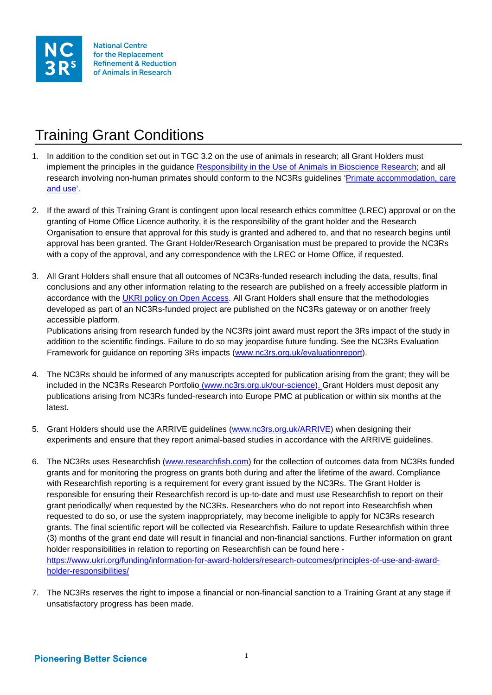

## Training Grant Conditions

- 1. In addition to the condition set out in TGC 3.2 on the use of animals in research; all Grant Holders must implement the principles in the guidance [Responsibility in the Use of Animals in Bioscience Research;](http://www.nc3rs.org.uk/responsibility-use-animals-bioscience-research) and all research involving non-human primates should conform to the NC3Rs guidelines ['Primate accommodation, care](http://www.nc3rs.org.uk/primatesguidelines)  [and use'.](http://www.nc3rs.org.uk/primatesguidelines)
- 2. If the award of this Training Grant is contingent upon local research ethics committee (LREC) approval or on the granting of Home Office Licence authority, it is the responsibility of the grant holder and the Research Organisation to ensure that approval for this study is granted and adhered to, and that no research begins until approval has been granted. The Grant Holder/Research Organisation must be prepared to provide the NC3Rs with a copy of the approval, and any correspondence with the LREC or Home Office, if requested.
- 3. All Grant Holders shall ensure that all outcomes of NC3Rs-funded research including the data, results, final conclusions and any other information relating to the research are published on a freely accessible platform in accordance with the [UKRI policy on Open Access.](https://www.ukri.org/files/legacy/documents/rcukopenaccesspolicy-pdf/) All Grant Holders shall ensure that the methodologies developed as part of an NC3Rs-funded project are published on the NC3Rs gateway or on another freely accessible platform.

Publications arising from research funded by the NC3Rs joint award must report the 3Rs impact of the study in addition to the scientific findings. Failure to do so may jeopardise future funding. See the NC3Rs Evaluation Framework for guidance on reporting 3Rs impacts [\(www.nc3rs.org.uk/evaluationreport\)](http://www.nc3rs.org.uk/evaluationreport).

- 4. The NC3Rs should be informed of any manuscripts accepted for publication arising from the grant; they will be included in the NC3Rs Research Portfolio [\(www.nc3rs.org.uk/our-science\)](http://www.nc3rs.org.uk/our-science). Grant Holders must deposit any publications arising from NC3Rs funded-research into Europe PMC at publication or within six months at the latest.
- 5. Grant Holders should use the ARRIVE guidelines [\(www.nc3rs.org.uk/ARRIVE\)](http://www.nc3rs.org.uk/ARRIVE) when designing their experiments and ensure that they report animal-based studies in accordance with the ARRIVE guidelines.
- 6. The NC3Rs uses Researchfish [\(www.researchfish.com\)](http://www.researchfish.com/) for the collection of outcomes data from NC3Rs funded grants and for monitoring the progress on grants both during and after the lifetime of the award. Compliance with Researchfish reporting is a requirement for every grant issued by the NC3Rs. The Grant Holder is responsible for ensuring their Researchfish record is up-to-date and must use Researchfish to report on their grant periodically/ when requested by the NC3Rs. Researchers who do not report into Researchfish when requested to do so, or use the system inappropriately, may become ineligible to apply for NC3Rs research grants. The final scientific report will be collected via Researchfish. Failure to update Researchfish within three (3) months of the grant end date will result in financial and non-financial sanctions. Further information on grant holder responsibilities in relation to reporting on Researchfish can be found here [https://www.ukri.org/funding/information-for-award-holders/research-outcomes/principles-of-use-and-award](https://www.ukri.org/funding/information-for-award-holders/research-outcomes/principles-of-use-and-award-holder-responsibilities/)[holder-responsibilities/](https://www.ukri.org/funding/information-for-award-holders/research-outcomes/principles-of-use-and-award-holder-responsibilities/)
- 7. The NC3Rs reserves the right to impose a financial or non-financial sanction to a Training Grant at any stage if unsatisfactory progress has been made.